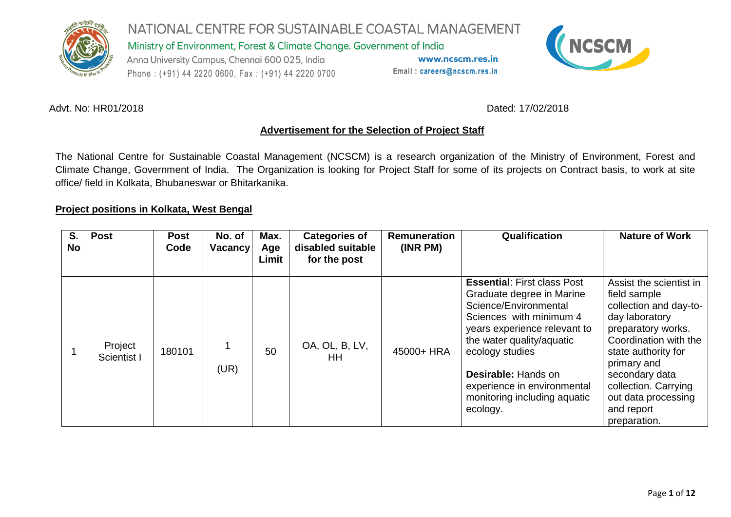

Ministry of Environment, Forest & Climate Change. Government of India

Anna University Campus, Chennai 600 025, India Phone: (+91) 44 2220 0600, Fax: (+91) 44 2220 0700

www.ncscm.res.in Email: careers@ncscm.res.in



#### Advt. No: HR01/2018 **Dated: 17/02/2018**

#### **Advertisement for the Selection of Project Staff**

The National Centre for Sustainable Coastal Management (NCSCM) is a research organization of the Ministry of Environment, Forest and Climate Change, Government of India. The Organization is looking for Project Staff for some of its projects on Contract basis, to work at site office/ field in Kolkata, Bhubaneswar or Bhitarkanika.

#### **Project positions in Kolkata, West Bengal**

| S.<br><b>No</b> | <b>Post</b>            | <b>Post</b><br>Code | No. of<br><b>Vacancy</b> | Max.<br>Age<br>Limit | <b>Categories of</b><br>disabled suitable<br>for the post | <b>Remuneration</b><br>(INR PM) | Qualification                                                                                                                                                                                                                                                                                                | <b>Nature of Work</b>                                                                                                                                                                                                                                                   |
|-----------------|------------------------|---------------------|--------------------------|----------------------|-----------------------------------------------------------|---------------------------------|--------------------------------------------------------------------------------------------------------------------------------------------------------------------------------------------------------------------------------------------------------------------------------------------------------------|-------------------------------------------------------------------------------------------------------------------------------------------------------------------------------------------------------------------------------------------------------------------------|
|                 | Project<br>Scientist I | 180101              | (UR)                     | 50                   | OA, OL, B, LV,<br>ΗH                                      | 45000+ HRA                      | <b>Essential: First class Post</b><br>Graduate degree in Marine<br>Science/Environmental<br>Sciences with minimum 4<br>years experience relevant to<br>the water quality/aquatic<br>ecology studies<br><b>Desirable: Hands on</b><br>experience in environmental<br>monitoring including aquatic<br>ecology. | Assist the scientist in<br>field sample<br>collection and day-to-<br>day laboratory<br>preparatory works.<br>Coordination with the<br>state authority for<br>primary and<br>secondary data<br>collection. Carrying<br>out data processing<br>and report<br>preparation. |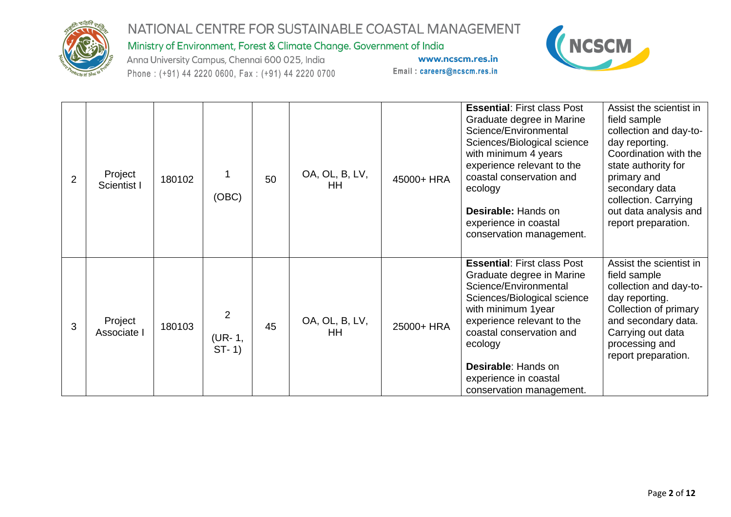

Ministry of Environment, Forest & Climate Change. Government of India

Anna University Campus, Chennai 600 025, India Phone: (+91) 44 2220 0600, Fax: (+91) 44 2220 0700



| $\overline{2}$ | Project<br>Scientist I | 180102 | (OBC)                               | 50 | OA, OL, B, LV,<br>HH.       | 45000+ HRA | <b>Essential: First class Post</b><br>Graduate degree in Marine<br>Science/Environmental<br>Sciences/Biological science<br>with minimum 4 years<br>experience relevant to the<br>coastal conservation and<br>ecology<br><b>Desirable: Hands on</b><br>experience in coastal<br>conservation management. | Assist the scientist in<br>field sample<br>collection and day-to-<br>day reporting.<br>Coordination with the<br>state authority for<br>primary and<br>secondary data<br>collection. Carrying<br>out data analysis and<br>report preparation. |
|----------------|------------------------|--------|-------------------------------------|----|-----------------------------|------------|---------------------------------------------------------------------------------------------------------------------------------------------------------------------------------------------------------------------------------------------------------------------------------------------------------|----------------------------------------------------------------------------------------------------------------------------------------------------------------------------------------------------------------------------------------------|
| 3              | Project<br>Associate I | 180103 | $\overline{2}$<br>(UR-1,<br>$ST-1)$ | 45 | OA, OL, B, LV,<br><b>HH</b> | 25000+ HRA | <b>Essential: First class Post</b><br>Graduate degree in Marine<br>Science/Environmental<br>Sciences/Biological science<br>with minimum 1year<br>experience relevant to the<br>coastal conservation and<br>ecology<br>Desirable: Hands on<br>experience in coastal<br>conservation management.          | Assist the scientist in<br>field sample<br>collection and day-to-<br>day reporting.<br>Collection of primary<br>and secondary data.<br>Carrying out data<br>processing and<br>report preparation.                                            |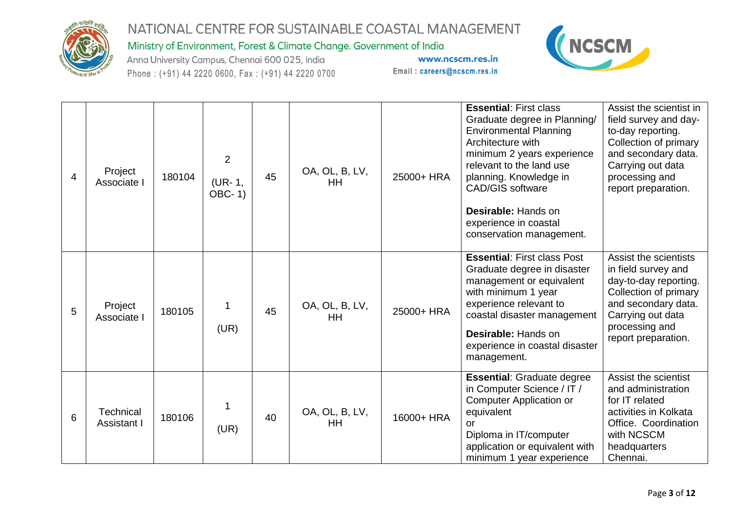

Ministry of Environment, Forest & Climate Change. Government of India

Anna University Campus, Chennai 600 025, India Phone: (+91) 44 2220 0600, Fax: (+91) 44 2220 0700



| $\overline{4}$ | Project<br>Associate I          | 180104 | $\overline{2}$<br>(UR-1,<br><b>OBC-1)</b> | 45 | OA, OL, B, LV,<br><b>HH</b> | 25000+ HRA | <b>Essential: First class</b><br>Graduate degree in Planning/<br><b>Environmental Planning</b><br>Architecture with<br>minimum 2 years experience<br>relevant to the land use<br>planning. Knowledge in<br><b>CAD/GIS software</b><br>Desirable: Hands on<br>experience in coastal<br>conservation management. | Assist the scientist in<br>field survey and day-<br>to-day reporting.<br>Collection of primary<br>and secondary data.<br>Carrying out data<br>processing and<br>report preparation. |
|----------------|---------------------------------|--------|-------------------------------------------|----|-----------------------------|------------|----------------------------------------------------------------------------------------------------------------------------------------------------------------------------------------------------------------------------------------------------------------------------------------------------------------|-------------------------------------------------------------------------------------------------------------------------------------------------------------------------------------|
| 5              | Project<br>Associate I          | 180105 | 1<br>(UR)                                 | 45 | OA, OL, B, LV,<br><b>HH</b> | 25000+ HRA | <b>Essential: First class Post</b><br>Graduate degree in disaster<br>management or equivalent<br>with minimum 1 year<br>experience relevant to<br>coastal disaster management<br>Desirable: Hands on<br>experience in coastal disaster<br>management.                                                          | Assist the scientists<br>in field survey and<br>day-to-day reporting.<br>Collection of primary<br>and secondary data.<br>Carrying out data<br>processing and<br>report preparation. |
| 6              | <b>Technical</b><br>Assistant I | 180106 | 1<br>(UR)                                 | 40 | OA, OL, B, LV,<br><b>HH</b> | 16000+ HRA | <b>Essential: Graduate degree</b><br>in Computer Science / IT /<br><b>Computer Application or</b><br>equivalent<br>or<br>Diploma in IT/computer<br>application or equivalent with<br>minimum 1 year experience                                                                                                 | Assist the scientist<br>and administration<br>for IT related<br>activities in Kolkata<br>Office. Coordination<br>with NCSCM<br>headquarters<br>Chennai.                             |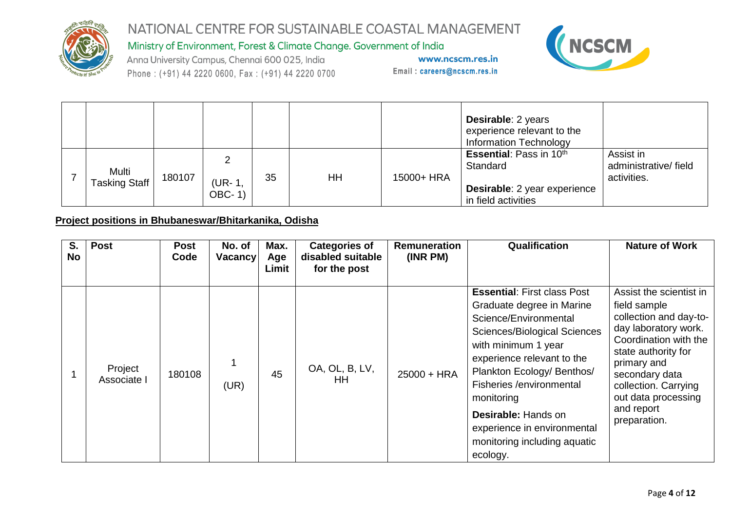

Ministry of Environment, Forest & Climate Change. Government of India

Anna University Campus, Chennai 600 025, India Phone: (+91) 44 2220 0600, Fax: (+91) 44 2220 0700

www.ncscm.res.in Email: careers@ncscm.res.in



|                               |        |                        |    |    |            | <b>Desirable: 2 years</b><br>experience relevant to the<br><b>Information Technology</b>          |                                                  |
|-------------------------------|--------|------------------------|----|----|------------|---------------------------------------------------------------------------------------------------|--------------------------------------------------|
| Multi<br><b>Tasking Staff</b> | 180107 | റ<br>'UR-1,<br>$OBC-1$ | 35 | HH | 15000+ HRA | <b>Essential: Pass in 10th</b><br>Standard<br>Desirable: 2 year experience<br>in field activities | Assist in<br>administrative/field<br>activities. |

#### **Project positions in Bhubaneswar/Bhitarkanika, Odisha**

| S.<br><b>No</b> | <b>Post</b>            | <b>Post</b><br>Code | No. of<br><b>Vacancy</b> | Max.<br>Age<br>Limit | <b>Categories of</b><br>disabled suitable<br>for the post | <b>Remuneration</b><br>(INR PM) | Qualification                                                                                                                                                                                                                                                                                                                                                         | <b>Nature of Work</b>                                                                                                                                                                                                                                   |
|-----------------|------------------------|---------------------|--------------------------|----------------------|-----------------------------------------------------------|---------------------------------|-----------------------------------------------------------------------------------------------------------------------------------------------------------------------------------------------------------------------------------------------------------------------------------------------------------------------------------------------------------------------|---------------------------------------------------------------------------------------------------------------------------------------------------------------------------------------------------------------------------------------------------------|
|                 | Project<br>Associate I | 180108              | (UR)                     | 45                   | OA, OL, B, LV,<br>ΗH                                      | $25000 + HRA$                   | <b>Essential: First class Post</b><br>Graduate degree in Marine<br>Science/Environmental<br><b>Sciences/Biological Sciences</b><br>with minimum 1 year<br>experience relevant to the<br>Plankton Ecology/ Benthos/<br>Fisheries /environmental<br>monitoring<br><b>Desirable: Hands on</b><br>experience in environmental<br>monitoring including aquatic<br>ecology. | Assist the scientist in<br>field sample<br>collection and day-to-<br>day laboratory work.<br>Coordination with the<br>state authority for<br>primary and<br>secondary data<br>collection. Carrying<br>out data processing<br>and report<br>preparation. |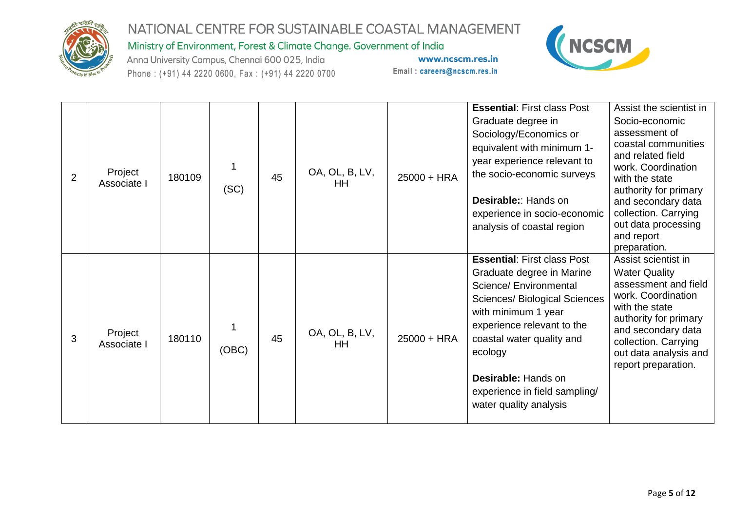

Ministry of Environment, Forest & Climate Change. Government of India

Anna University Campus, Chennai 600 025, India Phone: (+91) 44 2220 0600, Fax: (+91) 44 2220 0700



| $\overline{2}$ | Project<br>Associate I | 180109 | 1<br>(SC)  | 45 | OA, OL, B, LV,<br>HH | 25000 + HRA | <b>Essential: First class Post</b><br>Graduate degree in<br>Sociology/Economics or<br>equivalent with minimum 1-<br>year experience relevant to<br>the socio-economic surveys<br><b>Desirable:: Hands on</b><br>experience in socio-economic<br>analysis of coastal region                                       | Assist the scientist in<br>Socio-economic<br>assessment of<br>coastal communities<br>and related field<br>work. Coordination<br>with the state<br>authority for primary<br>and secondary data<br>collection. Carrying<br>out data processing<br>and report<br>preparation. |
|----------------|------------------------|--------|------------|----|----------------------|-------------|------------------------------------------------------------------------------------------------------------------------------------------------------------------------------------------------------------------------------------------------------------------------------------------------------------------|----------------------------------------------------------------------------------------------------------------------------------------------------------------------------------------------------------------------------------------------------------------------------|
| 3              | Project<br>Associate I | 180110 | 1<br>(OBC) | 45 | OA, OL, B, LV,<br>HН | 25000 + HRA | <b>Essential: First class Post</b><br>Graduate degree in Marine<br>Science/ Environmental<br><b>Sciences/ Biological Sciences</b><br>with minimum 1 year<br>experience relevant to the<br>coastal water quality and<br>ecology<br>Desirable: Hands on<br>experience in field sampling/<br>water quality analysis | Assist scientist in<br><b>Water Quality</b><br>assessment and field<br>work. Coordination<br>with the state<br>authority for primary<br>and secondary data<br>collection. Carrying<br>out data analysis and<br>report preparation.                                         |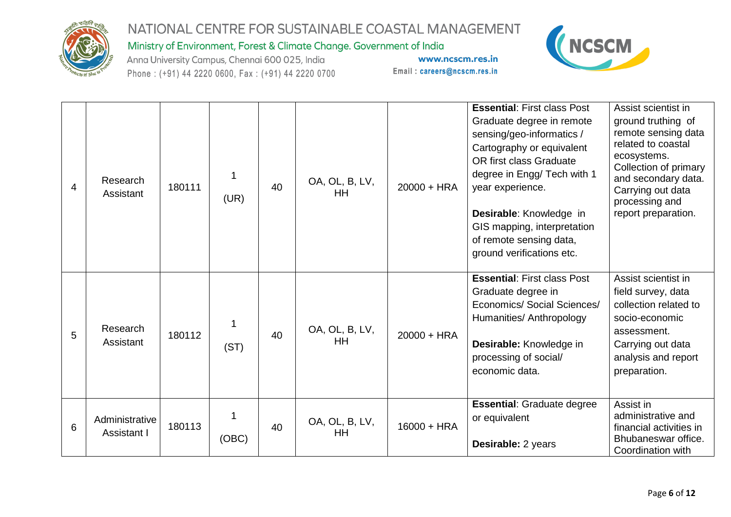

Ministry of Environment, Forest & Climate Change. Government of India

Anna University Campus, Chennai 600 025, India Phone: (+91) 44 2220 0600, Fax: (+91) 44 2220 0700



| 4 | Research<br>Assistant         | 180111 | 1<br>(UR)  | 40 | OA, OL, B, LV,<br><b>HH</b> | $20000 + HRA$ | <b>Essential: First class Post</b><br>Graduate degree in remote<br>sensing/geo-informatics /<br>Cartography or equivalent<br>OR first class Graduate<br>degree in Engg/ Tech with 1<br>year experience.<br>Desirable: Knowledge in<br>GIS mapping, interpretation<br>of remote sensing data,<br>ground verifications etc. | Assist scientist in<br>ground truthing of<br>remote sensing data<br>related to coastal<br>ecosystems.<br>Collection of primary<br>and secondary data.<br>Carrying out data<br>processing and<br>report preparation. |
|---|-------------------------------|--------|------------|----|-----------------------------|---------------|---------------------------------------------------------------------------------------------------------------------------------------------------------------------------------------------------------------------------------------------------------------------------------------------------------------------------|---------------------------------------------------------------------------------------------------------------------------------------------------------------------------------------------------------------------|
| 5 | Research<br>Assistant         | 180112 | 1<br>(ST)  | 40 | OA, OL, B, LV,<br><b>HH</b> | $20000 + HRA$ | <b>Essential: First class Post</b><br>Graduate degree in<br>Economics/ Social Sciences/<br>Humanities/ Anthropology<br>Desirable: Knowledge in<br>processing of social/<br>economic data.                                                                                                                                 | Assist scientist in<br>field survey, data<br>collection related to<br>socio-economic<br>assessment.<br>Carrying out data<br>analysis and report<br>preparation.                                                     |
| 6 | Administrative<br>Assistant I | 180113 | 1<br>(OBC) | 40 | OA, OL, B, LV,<br><b>HH</b> | $16000 + HRA$ | <b>Essential: Graduate degree</b><br>or equivalent<br>Desirable: 2 years                                                                                                                                                                                                                                                  | Assist in<br>administrative and<br>financial activities in<br>Bhubaneswar office.<br>Coordination with                                                                                                              |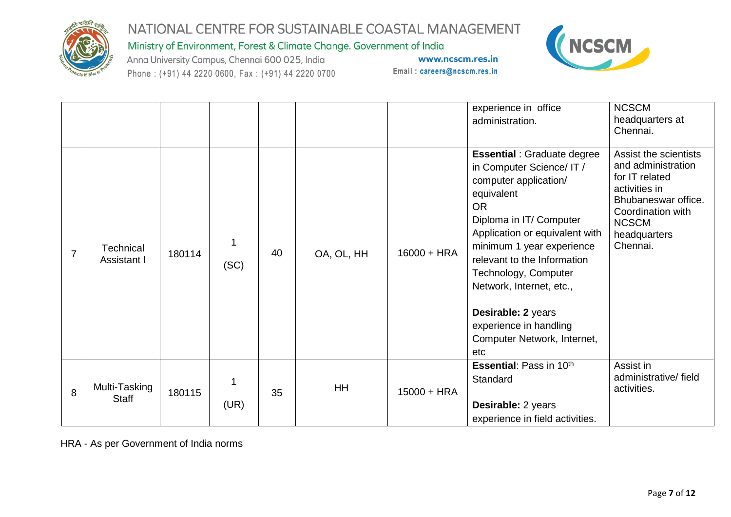

Ministry of Environment, Forest & Climate Change. Government of India

Anna University Campus, Chennai 600 025, India Phone: (+91) 44 2220 0600, Fax: (+91) 44 2220 0700

www.ncscm.res.in Email: careers@ncscm.res.in



|                |                                 |        |           |    |            |               | experience in office<br>administration.                                                                                                                                                                                                                                                                                                                                                | <b>NCSCM</b><br>headquarters at<br>Chennai.                                                                                                                            |
|----------------|---------------------------------|--------|-----------|----|------------|---------------|----------------------------------------------------------------------------------------------------------------------------------------------------------------------------------------------------------------------------------------------------------------------------------------------------------------------------------------------------------------------------------------|------------------------------------------------------------------------------------------------------------------------------------------------------------------------|
| $\overline{7}$ | <b>Technical</b><br>Assistant I | 180114 | 1<br>(SC) | 40 | OA, OL, HH | $16000 + HRA$ | <b>Essential : Graduate degree</b><br>in Computer Science/ IT /<br>computer application/<br>equivalent<br><b>OR</b><br>Diploma in IT/ Computer<br>Application or equivalent with<br>minimum 1 year experience<br>relevant to the Information<br>Technology, Computer<br>Network, Internet, etc.,<br>Desirable: 2 years<br>experience in handling<br>Computer Network, Internet,<br>etc | Assist the scientists<br>and administration<br>for IT related<br>activities in<br>Bhubaneswar office.<br>Coordination with<br><b>NCSCM</b><br>headquarters<br>Chennai. |
| 8              | Multi-Tasking<br><b>Staff</b>   | 180115 | 1<br>(UR) | 35 | HH         | $15000 + HRA$ | <b>Essential: Pass in 10th</b><br>Standard<br>Desirable: 2 years<br>experience in field activities.                                                                                                                                                                                                                                                                                    | Assist in<br>administrative/field<br>activities.                                                                                                                       |

HRA - As per Government of India norms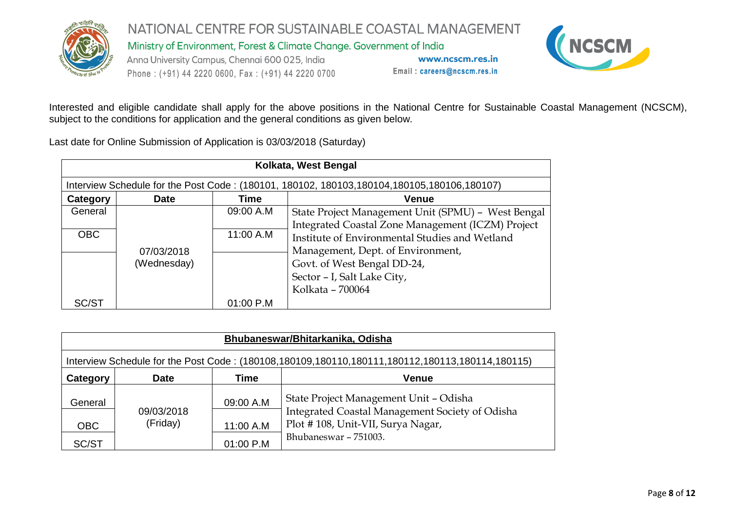

NATIONAL CENTRE FOR SUSTAINABLE COASTAL MANAGEMENT Ministry of Environment, Forest & Climate Change. Government of India Anna University Campus, Chennai 600 025, India www.ncscm.res.in Email: careers@ncscm.res.in Phone: (+91) 44 2220 0600, Fax: (+91) 44 2220 0700



Interested and eligible candidate shall apply for the above positions in the National Centre for Sustainable Coastal Management (NCSCM), subject to the conditions for application and the general conditions as given below.

Last date for Online Submission of Application is 03/03/2018 (Saturday)

|            | Kolkata, West Bengal                                                                           |             |                                                    |  |  |  |  |  |  |  |
|------------|------------------------------------------------------------------------------------------------|-------------|----------------------------------------------------|--|--|--|--|--|--|--|
|            | Interview Schedule for the Post Code: (180101, 180102, 180103, 180104, 180105, 180106, 180107) |             |                                                    |  |  |  |  |  |  |  |
| Category   | <b>Date</b>                                                                                    | <b>Time</b> | <b>Venue</b>                                       |  |  |  |  |  |  |  |
| General    |                                                                                                | 09:00 A.M   | State Project Management Unit (SPMU) - West Bengal |  |  |  |  |  |  |  |
|            |                                                                                                |             | Integrated Coastal Zone Management (ICZM) Project  |  |  |  |  |  |  |  |
| <b>OBC</b> |                                                                                                | 11:00 A.M   | Institute of Environmental Studies and Wetland     |  |  |  |  |  |  |  |
|            | 07/03/2018                                                                                     |             | Management, Dept. of Environment,                  |  |  |  |  |  |  |  |
|            | (Wednesday)                                                                                    |             | Govt. of West Bengal DD-24,                        |  |  |  |  |  |  |  |
|            |                                                                                                |             | Sector - I, Salt Lake City,                        |  |  |  |  |  |  |  |
|            |                                                                                                |             | Kolkata - 700064                                   |  |  |  |  |  |  |  |
| SC/ST      |                                                                                                | $01:00$ P.M |                                                    |  |  |  |  |  |  |  |

|                                                                                                 | Bhubaneswar/Bhitarkanika, Odisha |           |                                                                                           |  |  |  |  |  |  |
|-------------------------------------------------------------------------------------------------|----------------------------------|-----------|-------------------------------------------------------------------------------------------|--|--|--|--|--|--|
| Interview Schedule for the Post Code: (180108,180109,180110,180111,180112,180113,180114,180115) |                                  |           |                                                                                           |  |  |  |  |  |  |
| Category<br>Venue<br><b>Date</b><br>Time                                                        |                                  |           |                                                                                           |  |  |  |  |  |  |
| General                                                                                         | 09/03/2018                       | 09:00 A.M | State Project Management Unit - Odisha<br>Integrated Coastal Management Society of Odisha |  |  |  |  |  |  |
| <b>OBC</b>                                                                                      | (Friday)                         | 11:00 A.M | Plot #108, Unit-VII, Surya Nagar,                                                         |  |  |  |  |  |  |
| SC/ST                                                                                           |                                  | 01:00 P.M | Bhubaneswar - 751003.                                                                     |  |  |  |  |  |  |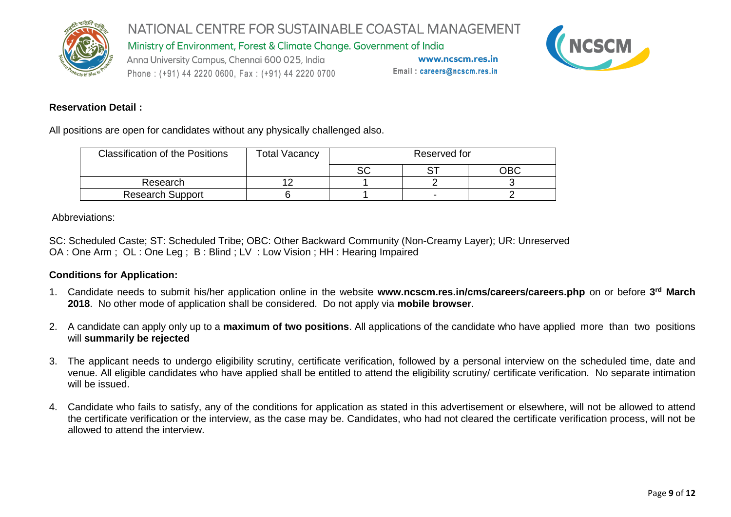

Ministry of Environment, Forest & Climate Change. Government of India

Anna University Campus, Chennai 600 025, India Phone: (+91) 44 2220 0600, Fax: (+91) 44 2220 0700

www.ncscm.res.in Email: careers@ncscm.res.in



#### **Reservation Detail :**

All positions are open for candidates without any physically challenged also.

| <b>Classification of the Positions</b> | <b>Total Vacancy</b> | Reserved for |  |     |
|----------------------------------------|----------------------|--------------|--|-----|
|                                        |                      | r n<br>ںح    |  | OBC |
| Research                               |                      |              |  |     |
| <b>Research Support</b>                |                      |              |  |     |

Abbreviations:

SC: Scheduled Caste; ST: Scheduled Tribe; OBC: Other Backward Community (Non-Creamy Layer); UR: Unreserved OA : One Arm ; OL : One Leg ; B : Blind ; LV : Low Vision ; HH : Hearing Impaired

#### **Conditions for Application:**

- 1. Candidate needs to submit his/her application online in the website **www.ncscm.res.in/cms/careers/careers.php** on or before **3 rd March 2018**. No other mode of application shall be considered. Do not apply via **mobile browser**.
- 2. A candidate can apply only up to a **maximum of two positions**. All applications of the candidate who have applied more than two positions will **summarily be rejected**
- 3. The applicant needs to undergo eligibility scrutiny, certificate verification, followed by a personal interview on the scheduled time, date and venue. All eligible candidates who have applied shall be entitled to attend the eligibility scrutiny/ certificate verification. No separate intimation will be issued.
- 4. Candidate who fails to satisfy, any of the conditions for application as stated in this advertisement or elsewhere, will not be allowed to attend the certificate verification or the interview, as the case may be. Candidates, who had not cleared the certificate verification process, will not be allowed to attend the interview.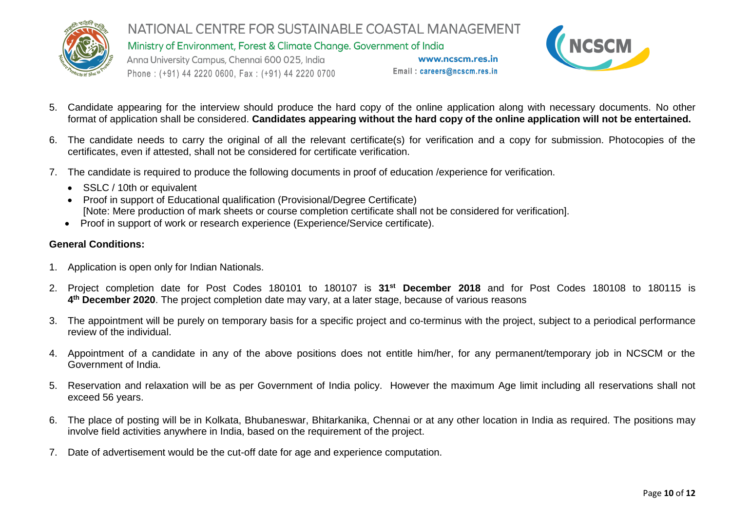

Ministry of Environment, Forest & Climate Change. Government of India

Anna University Campus, Chennai 600 025, India Phone: (+91) 44 2220 0600, Fax: (+91) 44 2220 0700

www.ncscm.res.in Email: careers@ncscm.res.in



- 5. Candidate appearing for the interview should produce the hard copy of the online application along with necessary documents. No other format of application shall be considered. **Candidates appearing without the hard copy of the online application will not be entertained.**
- 6. The candidate needs to carry the original of all the relevant certificate(s) for verification and a copy for submission. Photocopies of the certificates, even if attested, shall not be considered for certificate verification.
- 7. The candidate is required to produce the following documents in proof of education /experience for verification.
	- SSLC / 10th or equivalent
	- Proof in support of Educational qualification (Provisional/Degree Certificate) [Note: Mere production of mark sheets or course completion certificate shall not be considered for verification].
	- Proof in support of work or research experience (Experience/Service certificate).

### **General Conditions:**

- 1. Application is open only for Indian Nationals.
- 2. Project completion date for Post Codes 180101 to 180107 is **31st December 2018** and for Post Codes 180108 to 180115 is **4 th December 2020**. The project completion date may vary, at a later stage, because of various reasons
- 3. The appointment will be purely on temporary basis for a specific project and co-terminus with the project, subject to a periodical performance review of the individual.
- 4. Appointment of a candidate in any of the above positions does not entitle him/her, for any permanent/temporary job in NCSCM or the Government of India.
- 5. Reservation and relaxation will be as per Government of India policy. However the maximum Age limit including all reservations shall not exceed 56 years.
- 6. The place of posting will be in Kolkata, Bhubaneswar, Bhitarkanika, Chennai or at any other location in India as required. The positions may involve field activities anywhere in India, based on the requirement of the project.
- 7. Date of advertisement would be the cut-off date for age and experience computation.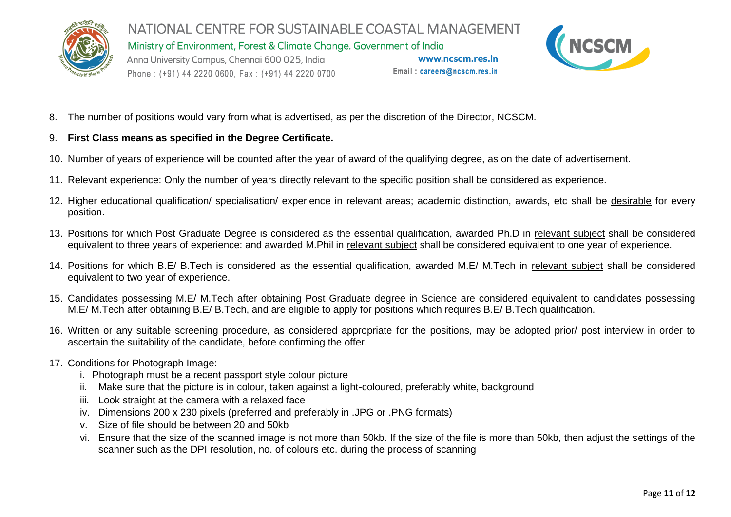

NATIONAL CENTRE FOR SUSTAINABLE COASTAL MANAGEMENT Ministry of Environment, Forest & Climate Change. Government of India Anna University Campus, Chennai 600 025, India www.ncscm.res.in



- Phone: (+91) 44 2220 0600, Fax: (+91) 44 2220 0700
- 8. The number of positions would vary from what is advertised, as per the discretion of the Director, NCSCM.
- 9. **First Class means as specified in the Degree Certificate.**
- 10. Number of years of experience will be counted after the year of award of the qualifying degree, as on the date of advertisement.
- 11. Relevant experience: Only the number of years directly relevant to the specific position shall be considered as experience.
- 12. Higher educational qualification/ specialisation/ experience in relevant areas; academic distinction, awards, etc shall be desirable for every position.

Email: careers@ncscm.res.in

- 13. Positions for which Post Graduate Degree is considered as the essential qualification, awarded Ph.D in relevant subject shall be considered equivalent to three years of experience: and awarded M.Phil in relevant subject shall be considered equivalent to one year of experience.
- 14. Positions for which B.E/ B.Tech is considered as the essential qualification, awarded M.E/ M.Tech in relevant subject shall be considered equivalent to two year of experience.
- 15. Candidates possessing M.E/ M.Tech after obtaining Post Graduate degree in Science are considered equivalent to candidates possessing M.E/ M.Tech after obtaining B.E/ B.Tech, and are eligible to apply for positions which requires B.E/ B.Tech qualification.
- 16. Written or any suitable screening procedure, as considered appropriate for the positions, may be adopted prior/ post interview in order to ascertain the suitability of the candidate, before confirming the offer.
- 17. Conditions for Photograph Image:
	- i. Photograph must be a recent passport style colour picture
	- ii. Make sure that the picture is in colour, taken against a light-coloured, preferably white, background
	- iii. Look straight at the camera with a relaxed face
	- iv. Dimensions 200 x 230 pixels (preferred and preferably in .JPG or .PNG formats)
	- v. Size of file should be between 20 and 50kb
	- vi. Ensure that the size of the scanned image is not more than 50kb. If the size of the file is more than 50kb, then adjust the settings of the scanner such as the DPI resolution, no. of colours etc. during the process of scanning